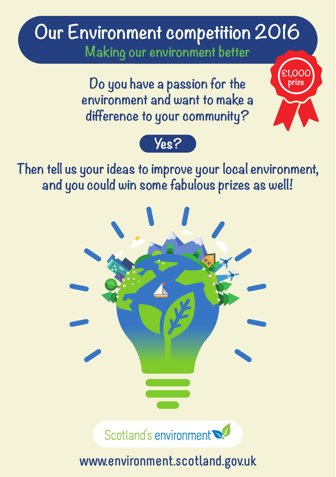# **Our Environment competition 2016 Making our environment better**

**Do you have a passion for the environment and want to make a difference to your community?**



**£1,000**



**Then tell us your ideas to improve your local environment, and you could win some fabulous prizes as well!**